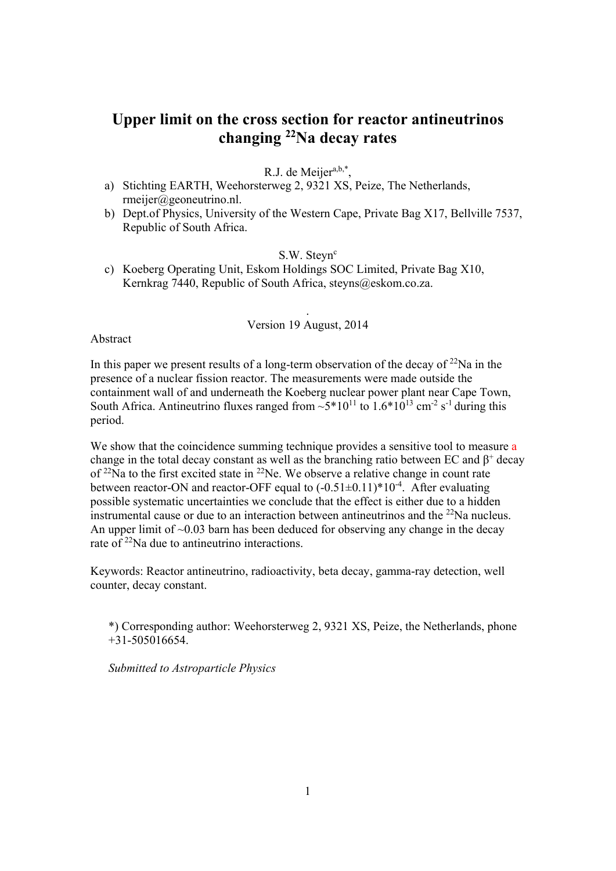# **Upper limit on the cross section for reactor antineutrinos changing 22Na decay rates**

R.J. de Meijer $a,b,*$ ,

- a) Stichting EARTH, Weehorsterweg 2, 9321 XS, Peize, The Netherlands, rmeijer@geoneutrino.nl.
- b) Dept.of Physics, University of the Western Cape, Private Bag X17, Bellville 7537, Republic of South Africa.

 $S.W.$  Stevn $c$ 

c) Koeberg Operating Unit, Eskom Holdings SOC Limited, Private Bag X10, Kernkrag 7440, Republic of South Africa, steyns@eskom.co.za.

# . Version 19 August, 2014

Abstract

In this paper we present results of a long-term observation of the decay of  $^{22}$ Na in the presence of a nuclear fission reactor. The measurements were made outside the containment wall of and underneath the Koeberg nuclear power plant near Cape Town, South Africa. Antineutrino fluxes ranged from  $\sim 5*10^{11}$  to  $1.6*10^{13}$  cm<sup>-2</sup> s<sup>-1</sup> during this period.

We show that the coincidence summing technique provides a sensitive tool to measure a change in the total decay constant as well as the branching ratio between EC and  $\beta^+$  decay of  $^{22}$ Na to the first excited state in  $^{22}$ Ne. We observe a relative change in count rate between reactor-ON and reactor-OFF equal to  $(-0.51\pm0.11)^*10^{-4}$ . After evaluating possible systematic uncertainties we conclude that the effect is either due to a hidden instrumental cause or due to an interaction between antineutrinos and the 22Na nucleus. An upper limit of  $\sim 0.03$  barn has been deduced for observing any change in the decay rate of  $22$ Na due to antineutrino interactions.

Keywords: Reactor antineutrino, radioactivity, beta decay, gamma-ray detection, well counter, decay constant.

\*) Corresponding author: Weehorsterweg 2, 9321 XS, Peize, the Netherlands, phone +31-505016654.

*Submitted to Astroparticle Physics*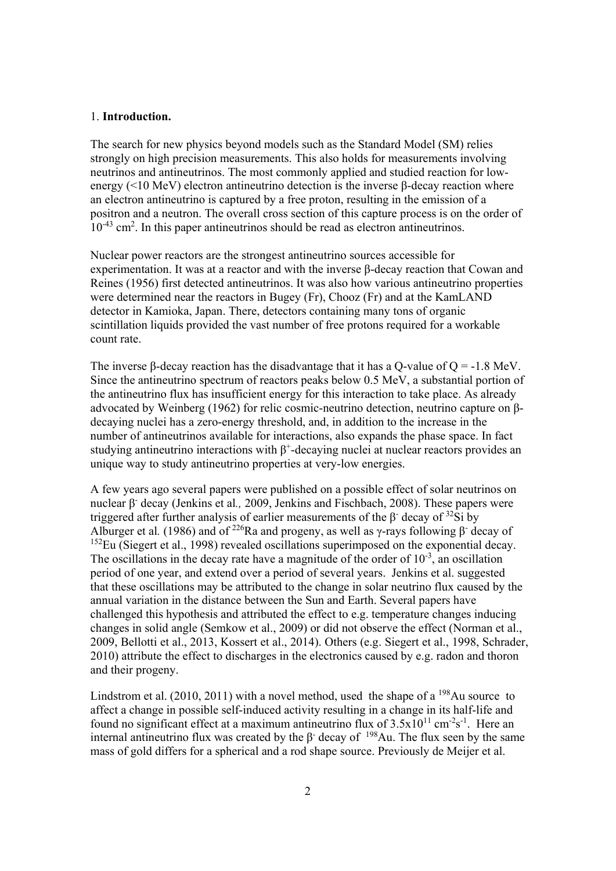#### 1. **Introduction.**

The search for new physics beyond models such as the Standard Model (SM) relies strongly on high precision measurements. This also holds for measurements involving neutrinos and antineutrinos. The most commonly applied and studied reaction for lowenergy (<10 MeV) electron antineutrino detection is the inverse β-decay reaction where an electron antineutrino is captured by a free proton, resulting in the emission of a positron and a neutron. The overall cross section of this capture process is on the order of 10<sup>-43</sup> cm<sup>2</sup>. In this paper antineutrinos should be read as electron antineutrinos.

Nuclear power reactors are the strongest antineutrino sources accessible for experimentation. It was at a reactor and with the inverse β-decay reaction that Cowan and Reines (1956) first detected antineutrinos. It was also how various antineutrino properties were determined near the reactors in Bugey (Fr), Chooz (Fr) and at the KamLAND detector in Kamioka, Japan. There, detectors containing many tons of organic scintillation liquids provided the vast number of free protons required for a workable count rate.

The inverse β-decay reaction has the disadvantage that it has a Q-value of  $Q = -1.8$  MeV. Since the antineutrino spectrum of reactors peaks below 0.5 MeV, a substantial portion of the antineutrino flux has insufficient energy for this interaction to take place. As already advocated by Weinberg (1962) for relic cosmic-neutrino detection, neutrino capture on βdecaying nuclei has a zero-energy threshold, and, in addition to the increase in the number of antineutrinos available for interactions, also expands the phase space. In fact studying antineutrino interactions with  $\beta^+$ -decaying nuclei at nuclear reactors provides an unique way to study antineutrino properties at very-low energies.

A few years ago several papers were published on a possible effect of solar neutrinos on nuclear β<sup>-</sup> decay (Jenkins et al., 2009, Jenkins and Fischbach, 2008). These papers were triggered after further analysis of earlier measurements of the β decay of  $32Si$  by Alburger et al. (1986) and of <sup>226</sup>Ra and progeny, as well as  $\gamma$ -rays following  $\beta$ <sup>-</sup> decay of <sup>152</sup>Eu (Siegert et al., 1998) revealed oscillations superimposed on the exponential decay. The oscillations in the decay rate have a magnitude of the order of  $10^{-3}$ , an oscillation period of one year, and extend over a period of several years. Jenkins et al. suggested that these oscillations may be attributed to the change in solar neutrino flux caused by the annual variation in the distance between the Sun and Earth. Several papers have challenged this hypothesis and attributed the effect to e.g. temperature changes inducing changes in solid angle (Semkow et al., 2009) or did not observe the effect (Norman et al., 2009, Bellotti et al., 2013, Kossert et al., 2014). Others (e.g. Siegert et al., 1998, Schrader, 2010) attribute the effect to discharges in the electronics caused by e.g. radon and thoron and their progeny.

Lindstrom et al.  $(2010, 2011)$  with a novel method, used the shape of a <sup>198</sup>Au source to affect a change in possible self-induced activity resulting in a change in its half-life and found no significant effect at a maximum antineutrino flux of  $3.5x10^{11}$  cm<sup>-2</sup>s<sup>-1</sup>. Here an internal antineutrino flux was created by the  $\beta$ <sup>-</sup> decay of <sup>198</sup>Au. The flux seen by the same mass of gold differs for a spherical and a rod shape source. Previously de Meijer et al.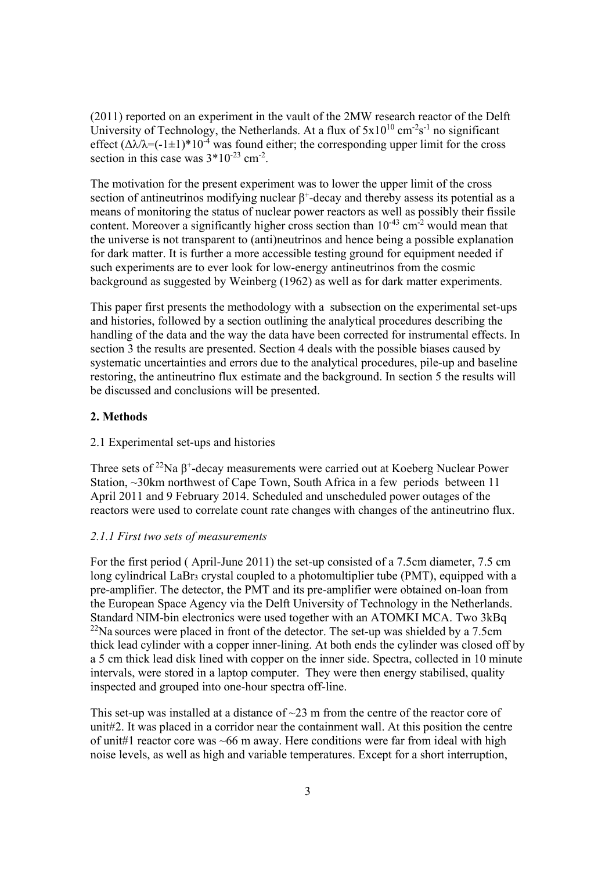(2011) reported on an experiment in the vault of the 2MW research reactor of the Delft University of Technology, the Netherlands. At a flux of  $5x10^{10}$  cm<sup>-2</sup>s<sup>-1</sup> no significant effect  $(\Delta \lambda / \lambda = (-1 \pm 1)^* 10^{-4}$  was found either; the corresponding upper limit for the cross section in this case was  $3*10^{-23}$  cm<sup>-2</sup>.

The motivation for the present experiment was to lower the upper limit of the cross section of antineutrinos modifying nuclear  $\beta^+$ -decay and thereby assess its potential as a means of monitoring the status of nuclear power reactors as well as possibly their fissile content. Moreover a significantly higher cross section than  $10^{-43}$  cm<sup>-2</sup> would mean that the universe is not transparent to (anti)neutrinos and hence being a possible explanation for dark matter. It is further a more accessible testing ground for equipment needed if such experiments are to ever look for low-energy antineutrinos from the cosmic background as suggested by Weinberg (1962) as well as for dark matter experiments.

This paper first presents the methodology with a subsection on the experimental set-ups and histories, followed by a section outlining the analytical procedures describing the handling of the data and the way the data have been corrected for instrumental effects. In section 3 the results are presented. Section 4 deals with the possible biases caused by systematic uncertainties and errors due to the analytical procedures, pile-up and baseline restoring, the antineutrino flux estimate and the background. In section 5 the results will be discussed and conclusions will be presented.

# **2. Methods**

## 2.1 Experimental set-ups and histories

Three sets of <sup>22</sup>Na  $\beta^+$ -decay measurements were carried out at Koeberg Nuclear Power Station, ~30km northwest of Cape Town, South Africa in a few periods between 11 April 2011 and 9 February 2014. Scheduled and unscheduled power outages of the reactors were used to correlate count rate changes with changes of the antineutrino flux.

## *2.1.1 First two sets of measurements*

For the first period ( April-June 2011) the set-up consisted of a 7.5cm diameter, 7.5 cm long cylindrical LaBr<sub>3</sub> crystal coupled to a photomultiplier tube (PMT), equipped with a pre-amplifier. The detector, the PMT and its pre-amplifier were obtained on-loan from the European Space Agency via the Delft University of Technology in the Netherlands. Standard NIM-bin electronics were used together with an ATOMKI MCA. Two 3kBq  $^{22}$ Na sources were placed in front of the detector. The set-up was shielded by a 7.5cm thick lead cylinder with a copper inner-lining. At both ends the cylinder was closed off by a 5 cm thick lead disk lined with copper on the inner side. Spectra, collected in 10 minute intervals, were stored in a laptop computer. They were then energy stabilised, quality inspected and grouped into one-hour spectra off-line.

This set-up was installed at a distance of  $\sim$ 23 m from the centre of the reactor core of unit#2. It was placed in a corridor near the containment wall. At this position the centre of unit#1 reactor core was ~66 m away. Here conditions were far from ideal with high noise levels, as well as high and variable temperatures. Except for a short interruption,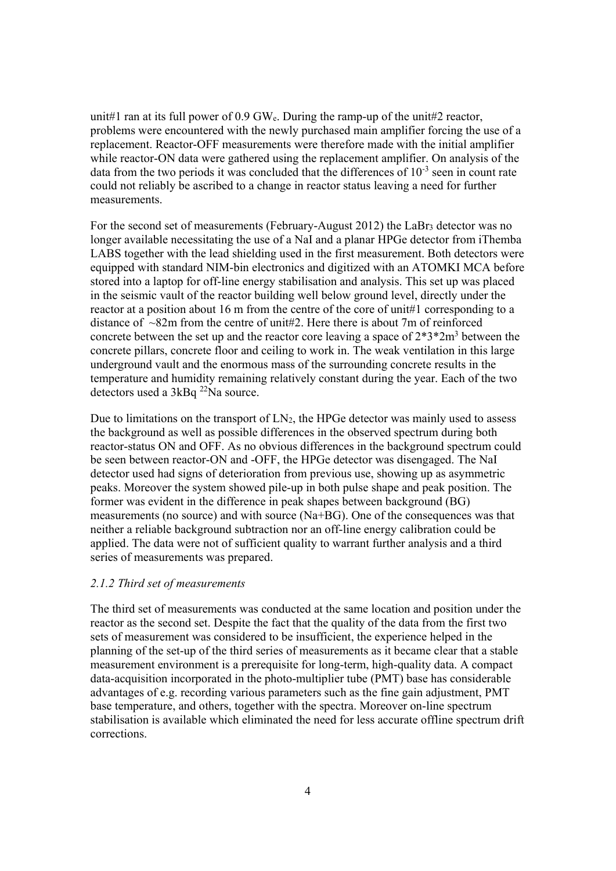unit#1 ran at its full power of 0.9 GWe. During the ramp-up of the unit#2 reactor, problems were encountered with the newly purchased main amplifier forcing the use of a replacement. Reactor-OFF measurements were therefore made with the initial amplifier while reactor-ON data were gathered using the replacement amplifier. On analysis of the data from the two periods it was concluded that the differences of  $10^{-3}$  seen in count rate could not reliably be ascribed to a change in reactor status leaving a need for further measurements.

For the second set of measurements (February-August 2012) the LaBr<sub>3</sub> detector was no longer available necessitating the use of a NaI and a planar HPGe detector from iThemba LABS together with the lead shielding used in the first measurement. Both detectors were equipped with standard NIM-bin electronics and digitized with an ATOMKI MCA before stored into a laptop for off-line energy stabilisation and analysis. This set up was placed in the seismic vault of the reactor building well below ground level, directly under the reactor at a position about 16 m from the centre of the core of unit#1 corresponding to a distance of  $\sim$ 82m from the centre of unit#2. Here there is about 7m of reinforced concrete between the set up and the reactor core leaving a space of  $2*3*2m^3$  between the concrete pillars, concrete floor and ceiling to work in. The weak ventilation in this large underground vault and the enormous mass of the surrounding concrete results in the temperature and humidity remaining relatively constant during the year. Each of the two detectors used a 3kBq <sup>22</sup>Na source.

Due to limitations on the transport of  $LN<sub>2</sub>$ , the HPGe detector was mainly used to assess the background as well as possible differences in the observed spectrum during both reactor-status ON and OFF. As no obvious differences in the background spectrum could be seen between reactor-ON and -OFF, the HPGe detector was disengaged. The NaI detector used had signs of deterioration from previous use, showing up as asymmetric peaks. Moreover the system showed pile-up in both pulse shape and peak position. The former was evident in the difference in peak shapes between background (BG) measurements (no source) and with source (Na+BG). One of the consequences was that neither a reliable background subtraction nor an off-line energy calibration could be applied. The data were not of sufficient quality to warrant further analysis and a third series of measurements was prepared.

# *2.1.2 Third set of measurements*

The third set of measurements was conducted at the same location and position under the reactor as the second set. Despite the fact that the quality of the data from the first two sets of measurement was considered to be insufficient, the experience helped in the planning of the set-up of the third series of measurements as it became clear that a stable measurement environment is a prerequisite for long-term, high-quality data. A compact data-acquisition incorporated in the photo-multiplier tube (PMT) base has considerable advantages of e.g. recording various parameters such as the fine gain adjustment, PMT base temperature, and others, together with the spectra. Moreover on-line spectrum stabilisation is available which eliminated the need for less accurate offline spectrum drift corrections.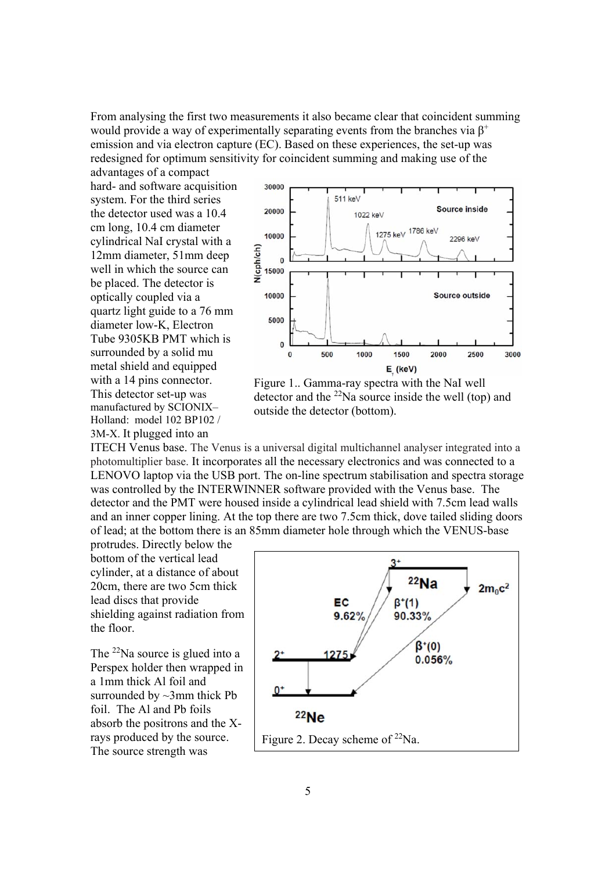From analysing the first two measurements it also became clear that coincident summing would provide a way of experimentally separating events from the branches via  $\beta^+$ emission and via electron capture (EC). Based on these experiences, the set-up was redesigned for optimum sensitivity for coincident summing and making use of the advantages of a compact

hard- and software acquisition system. For the third series the detector used was a 10.4 cm long, 10.4 cm diameter cylindrical NaI crystal with a 12mm diameter, 51mm deep well in which the source can be placed. The detector is optically coupled via a quartz light guide to a 76 mm diameter low-K, Electron Tube 9305KB PMT which is surrounded by a solid mu metal shield and equipped with a 14 pins connector. This detector set-up was manufactured by SCIONIX– Holland: model 102 BP102 / 3M-X. It plugged into an



Figure 1.. Gamma-ray spectra with the NaI well detector and the  $^{22}$ Na source inside the well (top) and outside the detector (bottom).

ITECH Venus base. The Venus is a universal digital multichannel analyser integrated into a photomultiplier base. It incorporates all the necessary electronics and was connected to a LENOVO laptop via the USB port. The on-line spectrum stabilisation and spectra storage was controlled by the INTERWINNER software provided with the Venus base. The detector and the PMT were housed inside a cylindrical lead shield with 7.5cm lead walls and an inner copper lining. At the top there are two 7.5cm thick, dove tailed sliding doors of lead; at the bottom there is an 85mm diameter hole through which the VENUS-base

protrudes. Directly below the bottom of the vertical lead cylinder, at a distance of about 20cm, there are two 5cm thick lead discs that provide shielding against radiation from the floor.

The <sup>22</sup>Na source is glued into a Perspex holder then wrapped in a 1mm thick Al foil and surrounded by  $\sim$ 3mm thick Pb foil. The Al and Pb foils absorb the positrons and the Xrays produced by the source. The source strength was

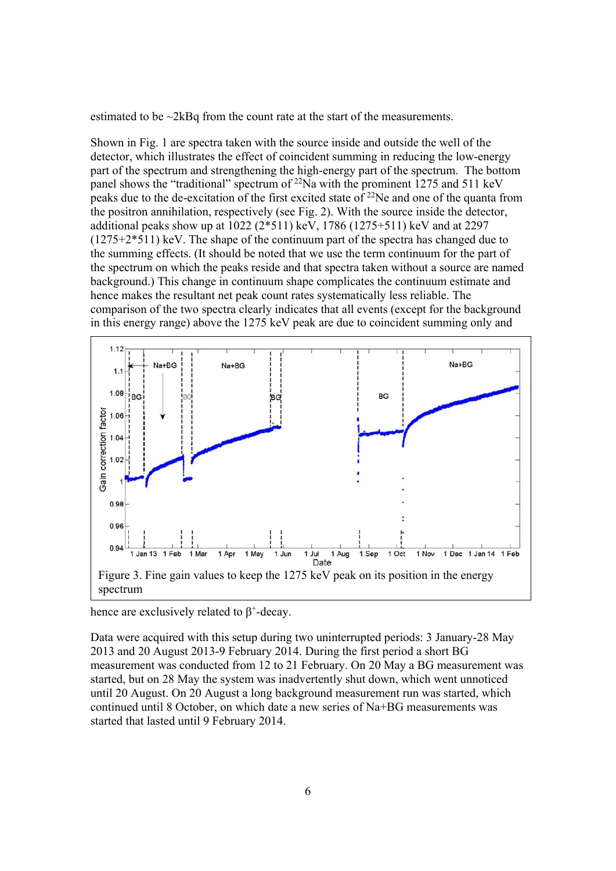estimated to be ~2kBq from the count rate at the start of the measurements.

Shown in Fig. 1 are spectra taken with the source inside and outside the well of the detector, which illustrates the effect of coincident summing in reducing the low-energy part of the spectrum and strengthening the high-energy part of the spectrum. The bottom panel shows the "traditional" spectrum of  $^{22}$ Na with the prominent 1275 and 511 keV peaks due to the de-excitation of the first excited state of  $^{22}$ Ne and one of the quanta from the positron annihilation, respectively (see Fig. 2). With the source inside the detector, additional peaks show up at 1022 (2\*511) keV, 1786 (1275+511) keV and at 2297 (1275+2\*511) keV. The shape of the continuum part of the spectra has changed due to the summing effects. (It should be noted that we use the term continuum for the part of the spectrum on which the peaks reside and that spectra taken without a source are named background.) This change in continuum shape complicates the continuum estimate and hence makes the resultant net peak count rates systematically less reliable. The comparison of the two spectra clearly indicates that all events (except for the background in this energy range) above the 1275 keV peak are due to coincident summing only and



hence are exclusively related to  $\beta^*$ -decay.

Data were acquired with this setup during two uninterrupted periods: 3 January-28 May 2013 and 20 August 2013-9 February 2014. During the first period a short BG measurement was conducted from 12 to 21 February. On 20 May a BG measurement was started, but on 28 May the system was inadvertently shut down, which went unnoticed until 20 August. On 20 August a long background measurement run was started, which continued until 8 October, on which date a new series of Na+BG measurements was started that lasted until 9 February 2014.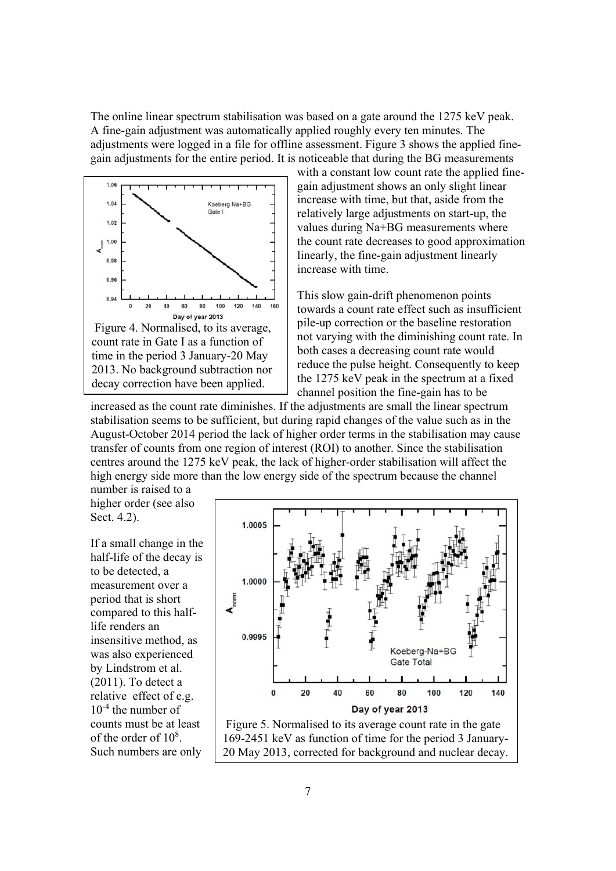The online linear spectrum stabilisation was based on a gate around the 1275 keV peak. A fine-gain adjustment was automatically applied roughly every ten minutes. The adjustments were logged in a file for offline assessment. Figure 3 shows the applied finegain adjustments for the entire period. It is noticeable that during the BG measurements



with a constant low count rate the applied finegain adjustment shows an only slight linear increase with time, but that, aside from the relatively large adjustments on start-up, the values during Na+BG measurements where the count rate decreases to good approximation linearly, the fine-gain adjustment linearly increase with time.

This slow gain-drift phenomenon points towards a count rate effect such as insufficient pile-up correction or the baseline restoration not varying with the diminishing count rate. In both cases a decreasing count rate would reduce the pulse height. Consequently to keep the 1275 keV peak in the spectrum at a fixed channel position the fine-gain has to be

increased as the count rate diminishes. If the adjustments are small the linear spectrum stabilisation seems to be sufficient, but during rapid changes of the value such as in the August-October 2014 period the lack of higher order terms in the stabilisation may cause transfer of counts from one region of interest (ROI) to another. Since the stabilisation centres around the 1275 keV peak, the lack of higher-order stabilisation will affect the high energy side more than the low energy side of the spectrum because the channel

number is raised to a higher order (see also Sect. 4.2).

If a small change in the half-life of the decay is to be detected, a measurement over a period that is short compared to this halflife renders an insensitive method, as was also experienced by Lindstrom et al.  $(2011)$ . To detect a relative effect of e.g. 10-4 the number of counts must be at least of the order of  $10^8$ . Such numbers are only



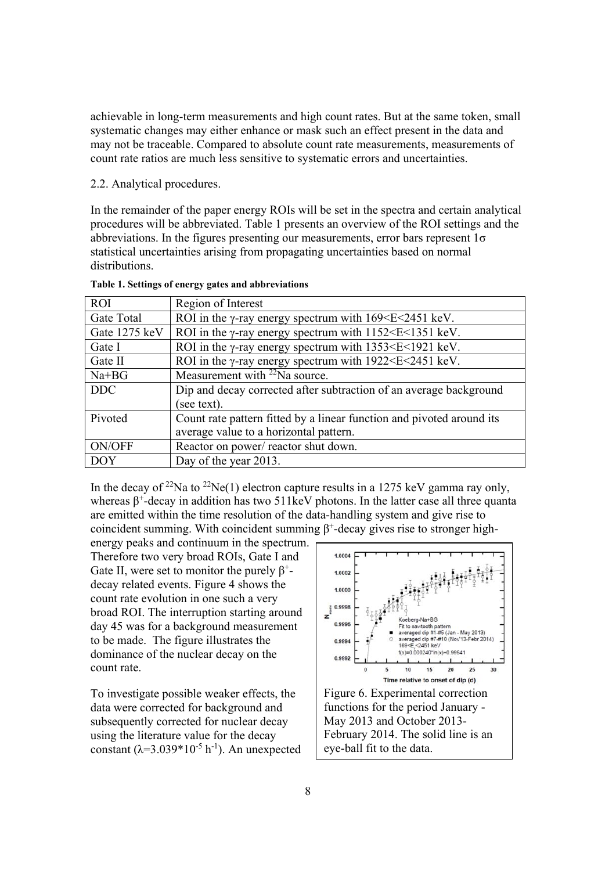achievable in long-term measurements and high count rates. But at the same token, small systematic changes may either enhance or mask such an effect present in the data and may not be traceable. Compared to absolute count rate measurements, measurements of count rate ratios are much less sensitive to systematic errors and uncertainties.

## 2.2. Analytical procedures.

In the remainder of the paper energy ROIs will be set in the spectra and certain analytical procedures will be abbreviated. Table 1 presents an overview of the ROI settings and the abbreviations. In the figures presenting our measurements, error bars represent 1σ statistical uncertainties arising from propagating uncertainties based on normal distributions.

| <b>ROI</b>    | Region of Interest                                                                  |  |  |  |  |  |
|---------------|-------------------------------------------------------------------------------------|--|--|--|--|--|
| Gate Total    | ROI in the $\gamma$ -ray energy spectrum with 169 $\leq$ E $\leq$ 2451 keV.         |  |  |  |  |  |
| Gate 1275 keV | ROI in the $\gamma$ -ray energy spectrum with 1152 <e<1351 kev.<="" td=""></e<1351> |  |  |  |  |  |
| Gate I        | ROI in the $\gamma$ -ray energy spectrum with 1353 <e<1921 kev.<="" td=""></e<1921> |  |  |  |  |  |
| Gate II       | ROI in the $\gamma$ -ray energy spectrum with 1922 <e<2451 kev.<="" td=""></e<2451> |  |  |  |  |  |
| Na+BG         | Measurement with <sup>22</sup> Na source.                                           |  |  |  |  |  |
| <b>DDC</b>    | Dip and decay corrected after subtraction of an average background                  |  |  |  |  |  |
|               | (see text).                                                                         |  |  |  |  |  |
| Pivoted       | Count rate pattern fitted by a linear function and pivoted around its               |  |  |  |  |  |
|               | average value to a horizontal pattern.                                              |  |  |  |  |  |
| ON/OFF        | Reactor on power/ reactor shut down.                                                |  |  |  |  |  |
| <b>DOY</b>    | Day of the year 2013.                                                               |  |  |  |  |  |

|  |  |  |  | Table 1. Settings of energy gates and abbreviations |
|--|--|--|--|-----------------------------------------------------|
|--|--|--|--|-----------------------------------------------------|

In the decay of <sup>22</sup>Na to <sup>22</sup>Ne(1) electron capture results in a 1275 keV gamma ray only. whereas  $\beta^+$ -decay in addition has two 511keV photons. In the latter case all three quanta are emitted within the time resolution of the data-handling system and give rise to coincident summing. With coincident summing  $\beta^+$ -decay gives rise to stronger high-

energy peaks and continuum in the spectrum. Therefore two very broad ROIs, Gate I and Gate II, were set to monitor the purely  $\beta^+$ decay related events. Figure 4 shows the count rate evolution in one such a very broad ROI. The interruption starting around day 45 was for a background measurement to be made. The figure illustrates the dominance of the nuclear decay on the count rate.

To investigate possible weaker effects, the data were corrected for background and subsequently corrected for nuclear decay using the literature value for the decay constant  $(\lambda=3.039*10^{-5} h^{-1})$ . An unexpected

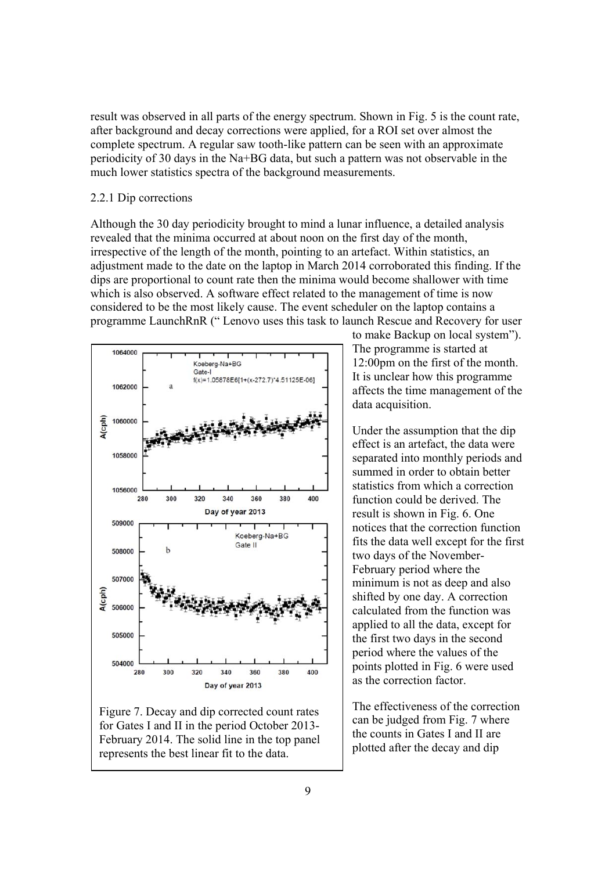result was observed in all parts of the energy spectrum. Shown in Fig. 5 is the count rate, after background and decay corrections were applied, for a ROI set over almost the complete spectrum. A regular saw tooth-like pattern can be seen with an approximate periodicity of 30 days in the Na+BG data, but such a pattern was not observable in the much lower statistics spectra of the background measurements.

## 2.2.1 Dip corrections

Although the 30 day periodicity brought to mind a lunar influence, a detailed analysis revealed that the minima occurred at about noon on the first day of the month, irrespective of the length of the month, pointing to an artefact. Within statistics, an adjustment made to the date on the laptop in March 2014 corroborated this finding. If the dips are proportional to count rate then the minima would become shallower with time which is also observed. A software effect related to the management of time is now considered to be the most likely cause. The event scheduler on the laptop contains a programme LaunchRnR (" Lenovo uses this task to launch Rescue and Recovery for user



Figure 7. Decay and dip corrected count rates for Gates I and II in the period October 2013- February 2014. The solid line in the top panel represents the best linear fit to the data.

to make Backup on local system"). The programme is started at 12:00pm on the first of the month. It is unclear how this programme affects the time management of the data acquisition.

Under the assumption that the dip effect is an artefact, the data were separated into monthly periods and summed in order to obtain better statistics from which a correction function could be derived. The result is shown in Fig. 6. One notices that the correction function fits the data well except for the first two days of the November-February period where the minimum is not as deep and also shifted by one day. A correction calculated from the function was applied to all the data, except for the first two days in the second period where the values of the points plotted in Fig. 6 were used as the correction factor.

The effectiveness of the correction can be judged from Fig. 7 where the counts in Gates I and II are plotted after the decay and dip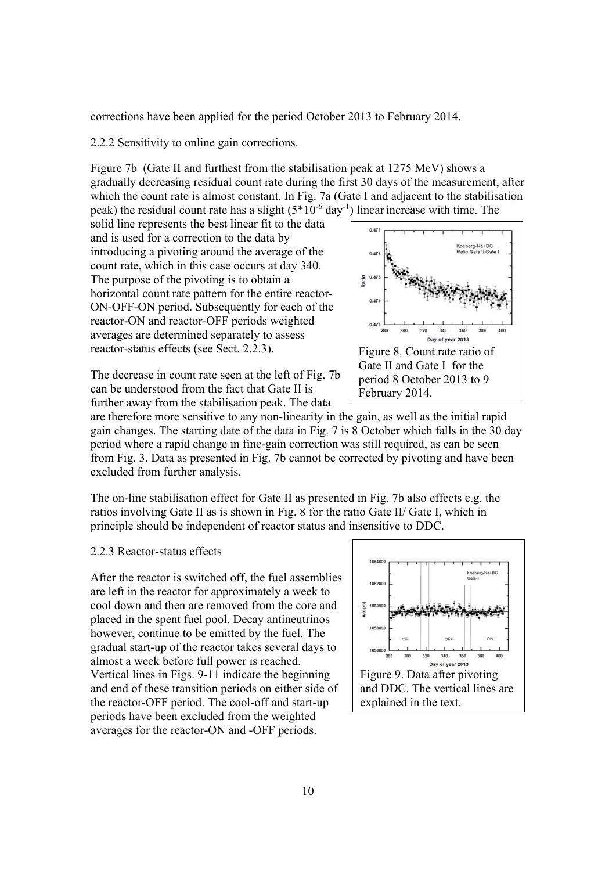corrections have been applied for the period October 2013 to February 2014.

2.2.2 Sensitivity to online gain corrections.

Figure 7b (Gate II and furthest from the stabilisation peak at 1275 MeV) shows a gradually decreasing residual count rate during the first 30 days of the measurement, after which the count rate is almost constant. In Fig. 7a (Gate I and adjacent to the stabilisation peak) the residual count rate has a slight  $(5*10^{-6} \text{ day}^{-1})$  linear increase with time. The

solid line represents the best linear fit to the data and is used for a correction to the data by introducing a pivoting around the average of the count rate, which in this case occurs at day 340. The purpose of the pivoting is to obtain a horizontal count rate pattern for the entire reactor-ON-OFF-ON period. Subsequently for each of the reactor-ON and reactor-OFF periods weighted averages are determined separately to assess reactor-status effects (see Sect. 2.2.3).



The decrease in count rate seen at the left of Fig. 7b can be understood from the fact that Gate II is further away from the stabilisation peak. The data

are therefore more sensitive to any non-linearity in the gain, as well as the initial rapid gain changes. The starting date of the data in Fig. 7 is 8 October which falls in the 30 day period where a rapid change in fine-gain correction was still required, as can be seen from Fig. 3. Data as presented in Fig. 7b cannot be corrected by pivoting and have been excluded from further analysis.

The on-line stabilisation effect for Gate II as presented in Fig. 7b also effects e.g. the ratios involving Gate II as is shown in Fig. 8 for the ratio Gate II/ Gate I, which in principle should be independent of reactor status and insensitive to DDC.

## 2.2.3 Reactor-status effects

After the reactor is switched off, the fuel assemblies are left in the reactor for approximately a week to cool down and then are removed from the core and placed in the spent fuel pool. Decay antineutrinos however, continue to be emitted by the fuel. The gradual start-up of the reactor takes several days to almost a week before full power is reached. Vertical lines in Figs. 9-11 indicate the beginning and end of these transition periods on either side of the reactor-OFF period. The cool-off and start-up periods have been excluded from the weighted averages for the reactor-ON and -OFF periods.

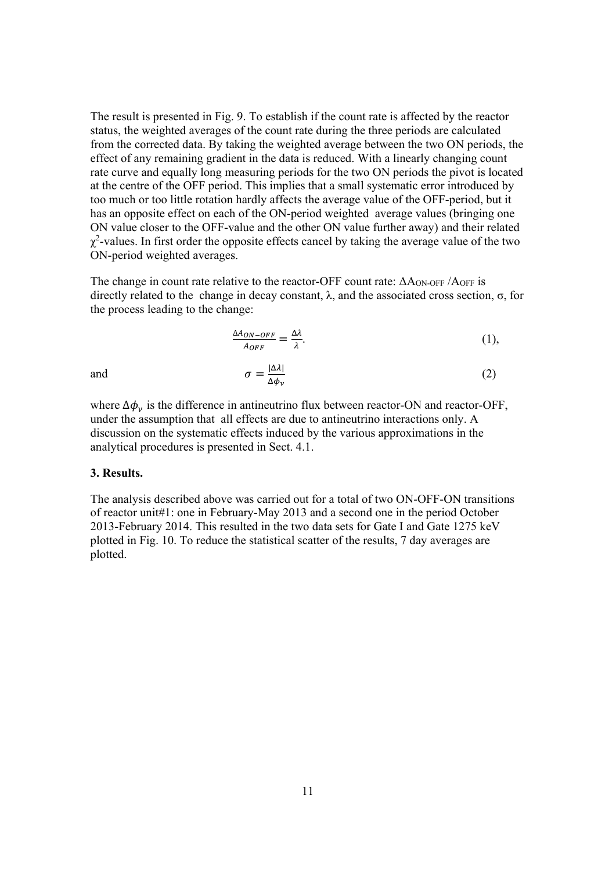The result is presented in Fig. 9. To establish if the count rate is affected by the reactor status, the weighted averages of the count rate during the three periods are calculated from the corrected data. By taking the weighted average between the two ON periods, the effect of any remaining gradient in the data is reduced. With a linearly changing count rate curve and equally long measuring periods for the two ON periods the pivot is located at the centre of the OFF period. This implies that a small systematic error introduced by too much or too little rotation hardly affects the average value of the OFF-period, but it has an opposite effect on each of the ON-period weighted average values (bringing one ON value closer to the OFF-value and the other ON value further away) and their related  $\chi^2$ -values. In first order the opposite effects cancel by taking the average value of the two ON-period weighted averages.

The change in count rate relative to the reactor-OFF count rate: ΔAON-OFF /AOFF is directly related to the change in decay constant,  $λ$ , and the associated cross section,  $σ$ , for the process leading to the change:

$$
\frac{\Delta A_{ON-OFF}}{A_{OFF}} = \frac{\Delta \lambda}{\lambda}.
$$
\n(1),

and 
$$
\sigma = \frac{|\Delta \lambda|}{\Delta \phi_{\nu}}
$$
 (2)

where  $\Delta \phi_v$  is the difference in antineutrino flux between reactor-ON and reactor-OFF, under the assumption that all effects are due to antineutrino interactions only. A discussion on the systematic effects induced by the various approximations in the analytical procedures is presented in Sect. 4.1.

#### **3. Results.**

The analysis described above was carried out for a total of two ON-OFF-ON transitions of reactor unit#1: one in February-May 2013 and a second one in the period October 2013-February 2014. This resulted in the two data sets for Gate I and Gate 1275 keV plotted in Fig. 10. To reduce the statistical scatter of the results, 7 day averages are plotted.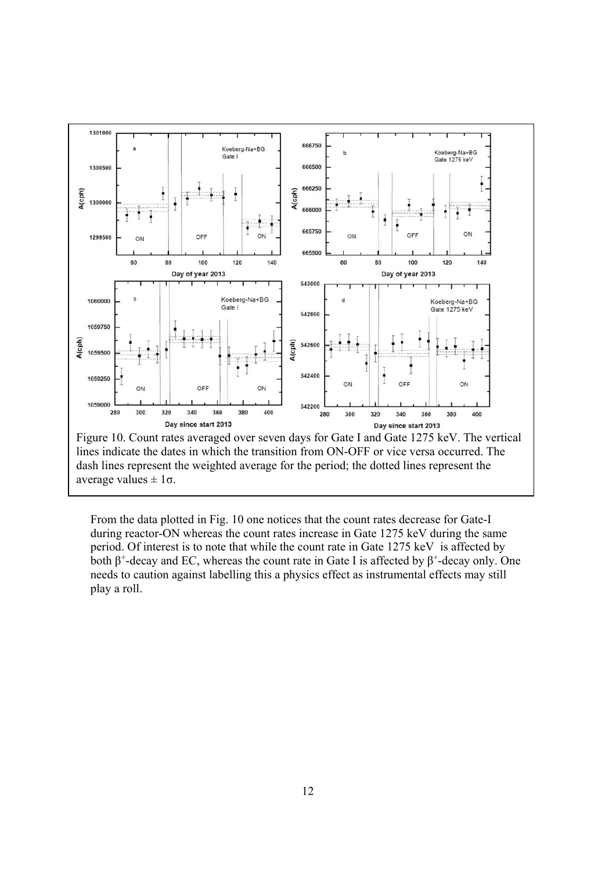

From the data plotted in Fig. 10 one notices that the count rates decrease for Gate-I during reactor-ON whereas the count rates increase in Gate 1275 keV during the same period. Of interest is to note that while the count rate in Gate 1275 keV is affected by both  $\beta^+$ -decay and EC, whereas the count rate in Gate I is affected by  $\beta^+$ -decay only. One needs to caution against labelling this a physics effect as instrumental effects may still play a roll.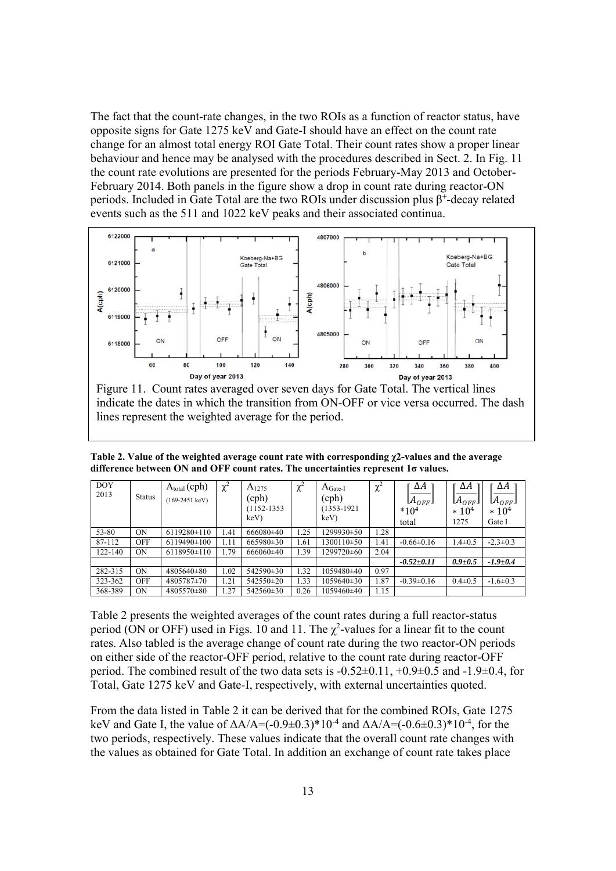The fact that the count-rate changes, in the two ROIs as a function of reactor status, have opposite signs for Gate 1275 keV and Gate-I should have an effect on the count rate change for an almost total energy ROI Gate Total. Their count rates show a proper linear behaviour and hence may be analysed with the procedures described in Sect. 2. In Fig. 11 the count rate evolutions are presented for the periods February-May 2013 and October-February 2014. Both panels in the figure show a drop in count rate during reactor-ON periods. Included in Gate Total are the two ROIs under discussion plus  $\beta^+$ -decay related events such as the 511 and 1022 keV peaks and their associated continua.



Exp of year 2013<br>Figure 11. Count rates averaged over seven days for Gate Total. The vertical lines indicate the dates in which the transition from ON-OFF or vice versa occurred. The dash lines represent the weighted average for the period.

**Table 2. Value of the weighted average count rate with corresponding χ2-values and the average difference between ON and OFF count rates. The uncertainties represent 1σ values.** 

| <b>DOY</b><br>2013 | <b>Status</b> | $A_{total}(cph)$<br>$(169-2451 \text{ keV})$ | $\chi^2$ | $A_{1275}$<br>(cph)<br>$(1152 - 1353)$<br>keV) | $\chi^2$ | $A_{\text{Gate-I}}$<br>(cph)<br>1353-1921<br>keV) | $\gamma^2$<br>λ | ΔΑ<br>L $A_{OFF}$ J<br>$*104$<br>total | ΔΑ<br>Լ $A_{OFF}$ յ<br>$* 104$<br>1275 | ΔΑ<br>Լ $A_{OFF}$ յ<br>$* 104$<br>Gate I |
|--------------------|---------------|----------------------------------------------|----------|------------------------------------------------|----------|---------------------------------------------------|-----------------|----------------------------------------|----------------------------------------|------------------------------------------|
| 53-80              | ON            | $6119280 \pm 110$                            | 1.41     | 666080±40                                      | 1.25     | 1299930±50                                        | 1.28            |                                        |                                        |                                          |
| 87-112             | <b>OFF</b>    | $6119490 \pm 100$                            | 1.11     | $665980\pm30$                                  | 1.61     | 1300110±50                                        | 1.41            | $-0.66\pm0.16$                         | $1.4 \pm 0.5$                          | $-2.3 \pm 0.3$                           |
| 122-140            | <b>ON</b>     | $6118950 \pm 110$                            | l.79     | 666060±40                                      | 1.39     | 1299720±60                                        | 2.04            |                                        |                                        |                                          |
|                    |               |                                              |          |                                                |          |                                                   |                 | $-0.52 \pm 0.11$                       | $0.9 + 0.5$                            | $-1.9 + 0.4$                             |
| 282-315            | <b>ON</b>     | 4805640±80                                   | 1.02     | 542590±30                                      | 1.32     | 1059480±40                                        | 0.97            |                                        |                                        |                                          |
| 323-362            | <b>OFF</b>    | 4805787±70                                   | 1.21     | 542550±20                                      | 1.33     | 1059640±30                                        | 1.87            | $-0.39\pm0.16$                         | $0.4 \pm 0.5$                          | $-1.6 \pm 0.3$                           |
| 368-389            | <b>ON</b>     | 4805570 $\pm$ 80                             | 1.27     | 542560±30                                      | 0.26     | 1059460±40                                        | 1.15            |                                        |                                        |                                          |

Table 2 presents the weighted averages of the count rates during a full reactor-status period (ON or OFF) used in Figs. 10 and 11. The  $\chi^2$ -values for a linear fit to the count rates. Also tabled is the average change of count rate during the two reactor-ON periods on either side of the reactor-OFF period, relative to the count rate during reactor-OFF period. The combined result of the two data sets is  $-0.52\pm0.11$ ,  $+0.9\pm0.5$  and  $-1.9\pm0.4$ , for Total, Gate 1275 keV and Gate-I, respectively, with external uncertainties quoted.

From the data listed in Table 2 it can be derived that for the combined ROIs, Gate 1275 keV and Gate I, the value of  $\Delta A/A = (-0.9 \pm 0.3)^* 10^{-4}$  and  $\Delta A/A = (-0.6 \pm 0.3)^* 10^{-4}$ , for the two periods, respectively. These values indicate that the overall count rate changes with the values as obtained for Gate Total. In addition an exchange of count rate takes place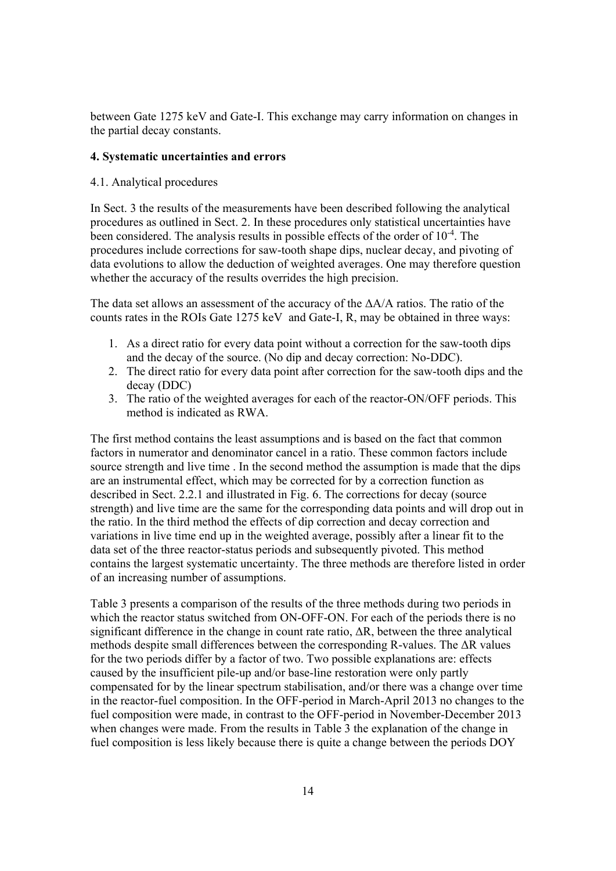between Gate 1275 keV and Gate-I. This exchange may carry information on changes in the partial decay constants.

## **4. Systematic uncertainties and errors**

## 4.1. Analytical procedures

In Sect. 3 the results of the measurements have been described following the analytical procedures as outlined in Sect. 2. In these procedures only statistical uncertainties have been considered. The analysis results in possible effects of the order of 10-4. The procedures include corrections for saw-tooth shape dips, nuclear decay, and pivoting of data evolutions to allow the deduction of weighted averages. One may therefore question whether the accuracy of the results overrides the high precision.

The data set allows an assessment of the accuracy of the  $\Delta A/A$  ratios. The ratio of the counts rates in the ROIs Gate 1275 keV and Gate-I, R, may be obtained in three ways:

- 1. As a direct ratio for every data point without a correction for the saw-tooth dips and the decay of the source. (No dip and decay correction: No-DDC).
- 2. The direct ratio for every data point after correction for the saw-tooth dips and the decay (DDC)
- 3. The ratio of the weighted averages for each of the reactor-ON/OFF periods. This method is indicated as RWA.

The first method contains the least assumptions and is based on the fact that common factors in numerator and denominator cancel in a ratio. These common factors include source strength and live time . In the second method the assumption is made that the dips are an instrumental effect, which may be corrected for by a correction function as described in Sect. 2.2.1 and illustrated in Fig. 6. The corrections for decay (source strength) and live time are the same for the corresponding data points and will drop out in the ratio. In the third method the effects of dip correction and decay correction and variations in live time end up in the weighted average, possibly after a linear fit to the data set of the three reactor-status periods and subsequently pivoted. This method contains the largest systematic uncertainty. The three methods are therefore listed in order of an increasing number of assumptions.

Table 3 presents a comparison of the results of the three methods during two periods in which the reactor status switched from ON-OFF-ON. For each of the periods there is no significant difference in the change in count rate ratio, ΔR, between the three analytical methods despite small differences between the corresponding R-values. The ΔR values for the two periods differ by a factor of two. Two possible explanations are: effects caused by the insufficient pile-up and/or base-line restoration were only partly compensated for by the linear spectrum stabilisation, and/or there was a change over time in the reactor-fuel composition. In the OFF-period in March-April 2013 no changes to the fuel composition were made, in contrast to the OFF-period in November-December 2013 when changes were made. From the results in Table 3 the explanation of the change in fuel composition is less likely because there is quite a change between the periods DOY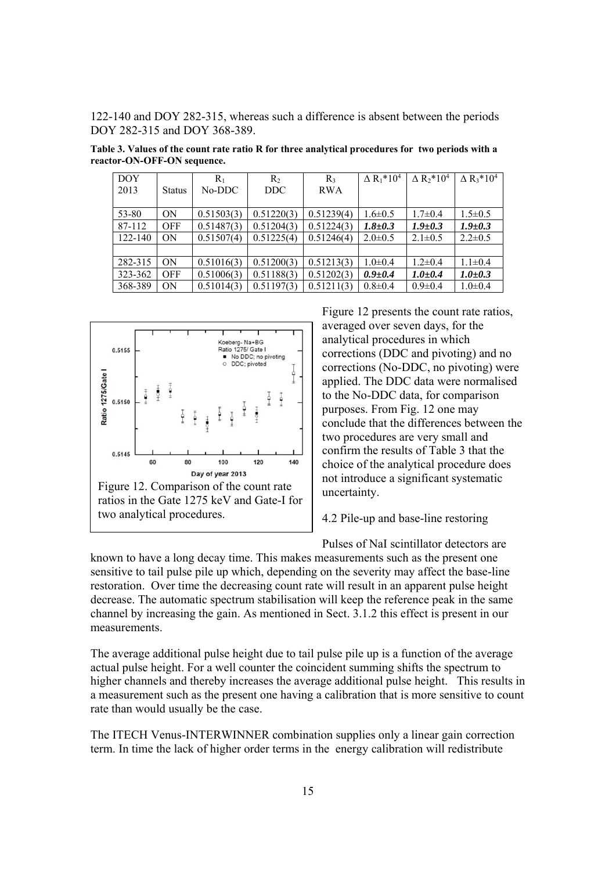122-140 and DOY 282-315, whereas such a difference is absent between the periods DOY 282-315 and DOY 368-389.

**Table 3. Values of the count rate ratio R for three analytical procedures for two periods with a reactor-ON-OFF-ON sequence.** 

| <b>DOY</b> |               | $R_1$      | R <sub>2</sub> | $R_3$      | $\Delta R_1$ *10 <sup>4</sup> | $\Delta R_2^* 10^4$ | $\Delta$ R <sub>3</sub> *10 <sup>4</sup> |
|------------|---------------|------------|----------------|------------|-------------------------------|---------------------|------------------------------------------|
| 2013       | <b>Status</b> | No-DDC     | DDC.           | <b>RWA</b> |                               |                     |                                          |
|            |               |            |                |            |                               |                     |                                          |
| 53-80      | <b>ON</b>     | 0.51503(3) | 0.51220(3)     | 0.51239(4) | $1.6 \pm 0.5$                 | $1.7 \pm 0.4$       | $1.5 \pm 0.5$                            |
| 87-112     | <b>OFF</b>    | 0.51487(3) | 0.51204(3)     | 0.51224(3) | $1.8 \pm 0.3$                 | $1.9 \pm 0.3$       | $1.9 \pm 0.3$                            |
| 122-140    | <b>ON</b>     | 0.51507(4) | 0.51225(4)     | 0.51246(4) | $2.0 \pm 0.5$                 | $2.1 \pm 0.5$       | $2.2 \pm 0.5$                            |
|            |               |            |                |            |                               |                     |                                          |
| 282-315    | <b>ON</b>     | 0.51016(3) | 0.51200(3)     | 0.51213(3) | $1.0 \pm 0.4$                 | $1.2 \pm 0.4$       | $1.1 \pm 0.4$                            |
| 323-362    | <b>OFF</b>    | 0.51006(3) | 0.51188(3)     | 0.51202(3) | $0.9 + 0.4$                   | $1.0 + 0.4$         | $1.0 \pm 0.3$                            |
| 368-389    | <b>ON</b>     | 0.51014(3) | 0.51197(3)     | 0.51211(3) | $0.8 \pm 0.4$                 | $0.9 \pm 0.4$       | $1.0 \pm 0.4$                            |



Figure 12 presents the count rate ratios, averaged over seven days, for the analytical procedures in which corrections (DDC and pivoting) and no corrections (No-DDC, no pivoting) were applied. The DDC data were normalised to the No-DDC data, for comparison purposes. From Fig. 12 one may conclude that the differences between the two procedures are very small and confirm the results of Table 3 that the choice of the analytical procedure does not introduce a significant systematic uncertainty.

4.2 Pile-up and base-line restoring

Pulses of NaI scintillator detectors are

known to have a long decay time. This makes measurements such as the present one sensitive to tail pulse pile up which, depending on the severity may affect the base-line restoration. Over time the decreasing count rate will result in an apparent pulse height decrease. The automatic spectrum stabilisation will keep the reference peak in the same channel by increasing the gain. As mentioned in Sect. 3.1.2 this effect is present in our measurements.

The average additional pulse height due to tail pulse pile up is a function of the average actual pulse height. For a well counter the coincident summing shifts the spectrum to higher channels and thereby increases the average additional pulse height. This results in a measurement such as the present one having a calibration that is more sensitive to count rate than would usually be the case.

The ITECH Venus-INTERWINNER combination supplies only a linear gain correction term. In time the lack of higher order terms in the energy calibration will redistribute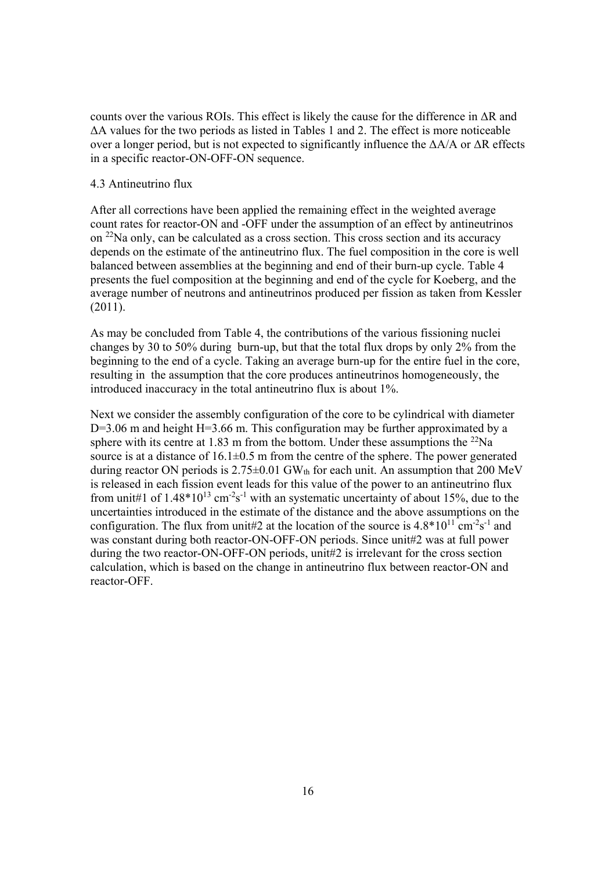counts over the various ROIs. This effect is likely the cause for the difference in  $\Delta R$  and ΔA values for the two periods as listed in Tables 1 and 2. The effect is more noticeable over a longer period, but is not expected to significantly influence the  $\Delta A/A$  or  $\Delta R$  effects in a specific reactor-ON-OFF-ON sequence.

## 4.3 Antineutrino flux

After all corrections have been applied the remaining effect in the weighted average count rates for reactor-ON and -OFF under the assumption of an effect by antineutrinos on 22Na only, can be calculated as a cross section. This cross section and its accuracy depends on the estimate of the antineutrino flux. The fuel composition in the core is well balanced between assemblies at the beginning and end of their burn-up cycle. Table 4 presents the fuel composition at the beginning and end of the cycle for Koeberg, and the average number of neutrons and antineutrinos produced per fission as taken from Kessler (2011).

As may be concluded from Table 4, the contributions of the various fissioning nuclei changes by 30 to 50% during burn-up, but that the total flux drops by only 2% from the beginning to the end of a cycle. Taking an average burn-up for the entire fuel in the core, resulting in the assumption that the core produces antineutrinos homogeneously, the introduced inaccuracy in the total antineutrino flux is about 1%.

Next we consider the assembly configuration of the core to be cylindrical with diameter D=3.06 m and height H=3.66 m. This configuration may be further approximated by a sphere with its centre at 1.83 m from the bottom. Under these assumptions the  $^{22}$ Na source is at a distance of  $16.1\pm0.5$  m from the centre of the sphere. The power generated during reactor ON periods is  $2.75\pm0.01$  GW<sub>th</sub> for each unit. An assumption that 200 MeV is released in each fission event leads for this value of the power to an antineutrino flux from unit#1 of  $1.48*10^{13}$  cm<sup>-2</sup>s<sup>-1</sup> with an systematic uncertainty of about 15%, due to the uncertainties introduced in the estimate of the distance and the above assumptions on the configuration. The flux from unit#2 at the location of the source is  $4.8*10^{11}$  cm<sup>-2</sup>s<sup>-1</sup> and was constant during both reactor-ON-OFF-ON periods. Since unit#2 was at full power during the two reactor-ON-OFF-ON periods, unit#2 is irrelevant for the cross section calculation, which is based on the change in antineutrino flux between reactor-ON and reactor-OFF.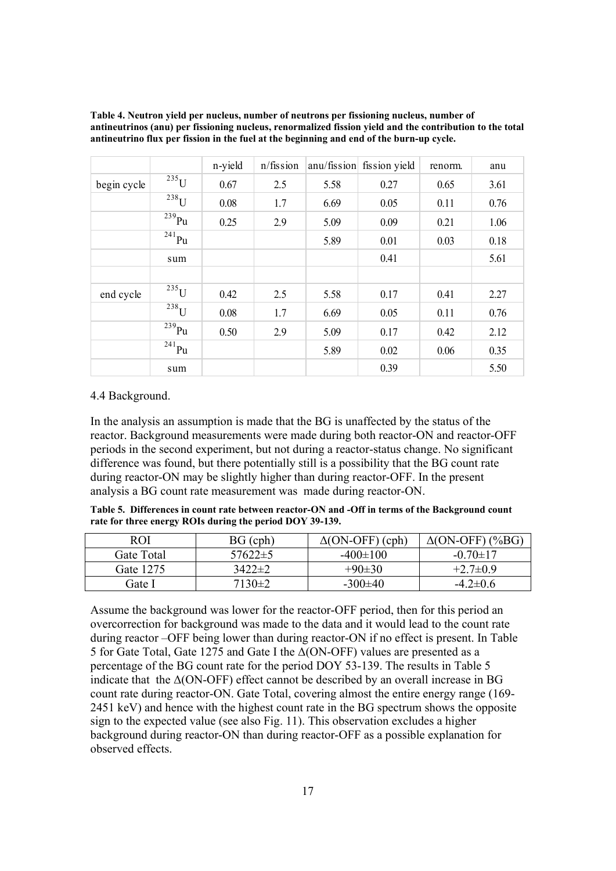|             |             | n-yield | $n$ /fission |      | anu/fission fission yield | renorm. | anu  |
|-------------|-------------|---------|--------------|------|---------------------------|---------|------|
| begin cycle | $^{235}$ U  | 0.67    | 2.5          | 5.58 | 0.27                      | 0.65    | 3.61 |
|             | $238$ U     | 0.08    | 1.7          | 6.69 | 0.05                      | 0.11    | 0.76 |
|             | $239$ Pu    | 0.25    | 2.9          | 5.09 | 0.09                      | 0.21    | 1.06 |
|             | $^{241}$ Pu |         |              | 5.89 | 0.01                      | 0.03    | 0.18 |
|             | sum         |         |              |      | 0.41                      |         | 5.61 |
|             |             |         |              |      |                           |         |      |
| end cycle   | $235$ U     | 0.42    | 2.5          | 5.58 | 0.17                      | 0.41    | 2.27 |
|             | $238$ U     | 0.08    | 1.7          | 6.69 | 0.05                      | 0.11    | 0.76 |
|             | $^{239}$ Pu | 0.50    | 2.9          | 5.09 | 0.17                      | 0.42    | 2.12 |
|             | $^{241}$ Pu |         |              | 5.89 | 0.02                      | 0.06    | 0.35 |
|             | sum         |         |              |      | 0.39                      |         | 5.50 |

**Table 4. Neutron yield per nucleus, number of neutrons per fissioning nucleus, number of antineutrinos (anu) per fissioning nucleus, renormalized fission yield and the contribution to the total antineutrino flux per fission in the fuel at the beginning and end of the burn-up cycle.** 

#### 4.4 Background.

In the analysis an assumption is made that the BG is unaffected by the status of the reactor. Background measurements were made during both reactor-ON and reactor-OFF periods in the second experiment, but not during a reactor-status change. No significant difference was found, but there potentially still is a possibility that the BG count rate during reactor-ON may be slightly higher than during reactor-OFF. In the present analysis a BG count rate measurement was made during reactor-ON.

**Table 5. Differences in count rate between reactor-ON and -Off in terms of the Background count rate for three energy ROIs during the period DOY 39-139.** 

| ROI        | $BG$ (cph)    | $\Delta$ (ON-OFF) (cph) | $\Delta$ (ON-OFF) (%BG) |
|------------|---------------|-------------------------|-------------------------|
| Gate Total | $57622 \pm 5$ | $-400\pm100$            | $-0.70 \pm 17$          |
| Gate 1275  | $3422 \pm 2$  | $+90\pm30$              | $+2.7\pm0.9$            |
| Gate I     | $7130\pm2$    | $-300\pm 40$            | $-4.2\pm0.6$            |

Assume the background was lower for the reactor-OFF period, then for this period an overcorrection for background was made to the data and it would lead to the count rate during reactor –OFF being lower than during reactor-ON if no effect is present. In Table 5 for Gate Total, Gate 1275 and Gate I the Δ(ON-OFF) values are presented as a percentage of the BG count rate for the period DOY 53-139. The results in Table 5 indicate that the  $\Delta$ (ON-OFF) effect cannot be described by an overall increase in BG count rate during reactor-ON. Gate Total, covering almost the entire energy range (169- 2451 keV) and hence with the highest count rate in the BG spectrum shows the opposite sign to the expected value (see also Fig. 11). This observation excludes a higher background during reactor-ON than during reactor-OFF as a possible explanation for observed effects.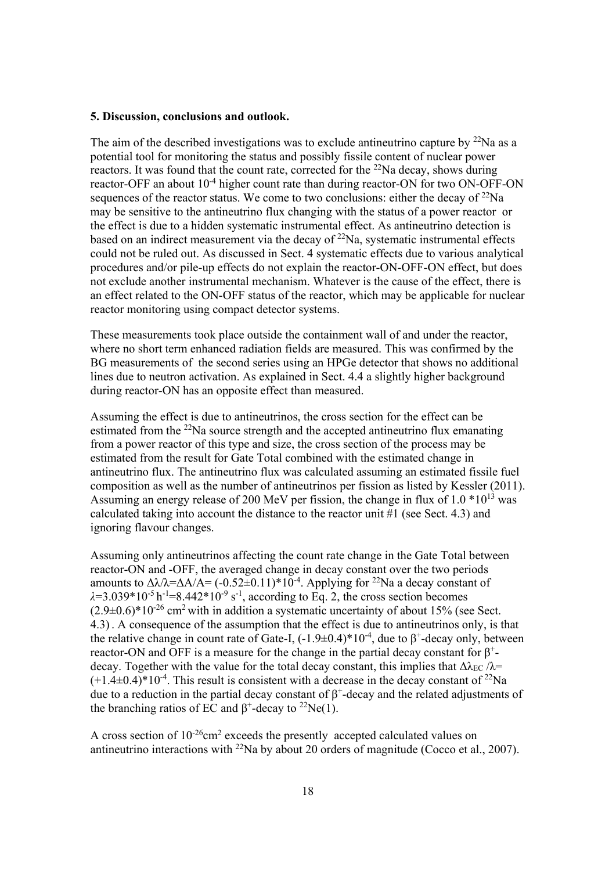#### **5. Discussion, conclusions and outlook.**

The aim of the described investigations was to exclude antineutrino capture by  $^{22}$ Na as a potential tool for monitoring the status and possibly fissile content of nuclear power reactors. It was found that the count rate, corrected for the <sup>22</sup>Na decay, shows during reactor-OFF an about 10<sup>-4</sup> higher count rate than during reactor-ON for two ON-OFF-ON sequences of the reactor status. We come to two conclusions: either the decay of  $^{22}$ Na may be sensitive to the antineutrino flux changing with the status of a power reactor or the effect is due to a hidden systematic instrumental effect. As antineutrino detection is based on an indirect measurement via the decay of  $22$ Na, systematic instrumental effects could not be ruled out. As discussed in Sect. 4 systematic effects due to various analytical procedures and/or pile-up effects do not explain the reactor-ON-OFF-ON effect, but does not exclude another instrumental mechanism. Whatever is the cause of the effect, there is an effect related to the ON-OFF status of the reactor, which may be applicable for nuclear reactor monitoring using compact detector systems.

These measurements took place outside the containment wall of and under the reactor, where no short term enhanced radiation fields are measured. This was confirmed by the BG measurements of the second series using an HPGe detector that shows no additional lines due to neutron activation. As explained in Sect. 4.4 a slightly higher background during reactor-ON has an opposite effect than measured.

Assuming the effect is due to antineutrinos, the cross section for the effect can be estimated from the  $22$ Na source strength and the accepted antineutrino flux emanating from a power reactor of this type and size, the cross section of the process may be estimated from the result for Gate Total combined with the estimated change in antineutrino flux. The antineutrino flux was calculated assuming an estimated fissile fuel composition as well as the number of antineutrinos per fission as listed by Kessler (2011). Assuming an energy release of 200 MeV per fission, the change in flux of  $1.0 * 10^{13}$  was calculated taking into account the distance to the reactor unit #1 (see Sect. 4.3) and ignoring flavour changes.

Assuming only antineutrinos affecting the count rate change in the Gate Total between reactor-ON and -OFF, the averaged change in decay constant over the two periods amounts to  $\Delta\lambda/\lambda = \Delta A/A = (-0.52\pm0.11)^*10^{-4}$ . Applying for <sup>22</sup>Na a decay constant of  $\lambda$ =3.039\*10<sup>-5</sup> h<sup>-1</sup>=8.442\*10<sup>-9</sup> s<sup>-1</sup>, according to Eq. 2, the cross section becomes  $(2.9\pm0.6)^*10^{-26}$  cm<sup>2</sup> with in addition a systematic uncertainty of about 15% (see Sect. 4.3). A consequence of the assumption that the effect is due to antineutrinos only, is that the relative change in count rate of Gate-I,  $(-1.9\pm 0.4)^*10^{-4}$ , due to  $\beta^+$ -decay only, between reactor-ON and OFF is a measure for the change in the partial decay constant for  $\beta^+$ decay. Together with the value for the total decay constant, this implies that  $\Delta \lambda_{EC} / \lambda$ =  $(+1.4\pm0.4)^*10^{-4}$ . This result is consistent with a decrease in the decay constant of <sup>22</sup>Na due to a reduction in the partial decay constant of  $\beta^+$ -decay and the related adjustments of the branching ratios of EC and  $\beta^+$ -decay to <sup>22</sup>Ne(1).

A cross section of  $10^{-26}$ cm<sup>2</sup> exceeds the presently accepted calculated values on antineutrino interactions with  $^{22}$ Na by about 20 orders of magnitude (Cocco et al., 2007).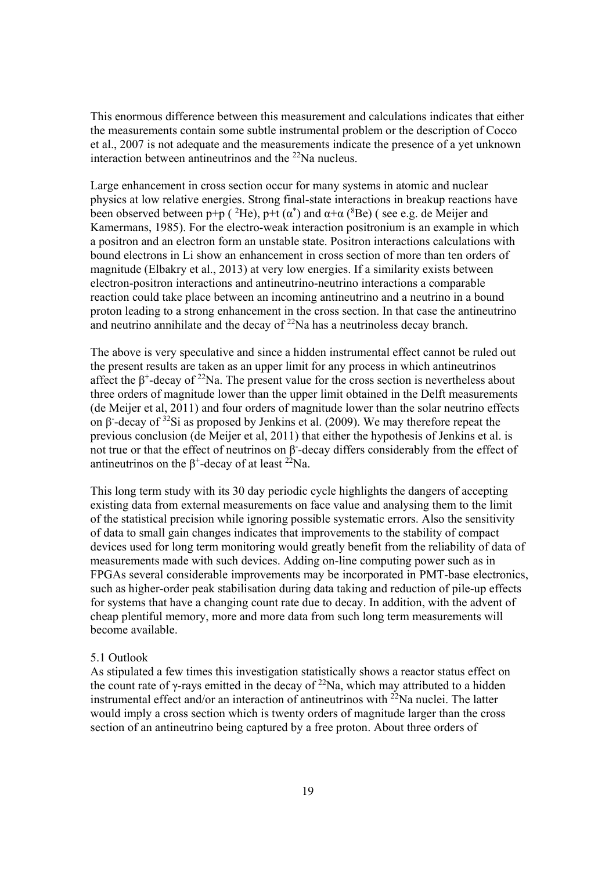This enormous difference between this measurement and calculations indicates that either the measurements contain some subtle instrumental problem or the description of Cocco et al., 2007 is not adequate and the measurements indicate the presence of a yet unknown interaction between antineutrinos and the  $^{22}$ Na nucleus.

Large enhancement in cross section occur for many systems in atomic and nuclear physics at low relative energies. Strong final-state interactions in breakup reactions have been observed between p+p ( ${}^{2}$ He), p+t ( $\alpha$ <sup>\*</sup>) and  $\alpha$ + $\alpha$  ( ${}^{8}$ Be) (see e.g. de Meijer and Kamermans, 1985). For the electro-weak interaction positronium is an example in which a positron and an electron form an unstable state. Positron interactions calculations with bound electrons in Li show an enhancement in cross section of more than ten orders of magnitude (Elbakry et al., 2013) at very low energies. If a similarity exists between electron-positron interactions and antineutrino-neutrino interactions a comparable reaction could take place between an incoming antineutrino and a neutrino in a bound proton leading to a strong enhancement in the cross section. In that case the antineutrino and neutrino annihilate and the decay of  $22$ Na has a neutrinoless decay branch.

The above is very speculative and since a hidden instrumental effect cannot be ruled out the present results are taken as an upper limit for any process in which antineutrinos affect the  $\beta^*$ -decay of <sup>22</sup>Na. The present value for the cross section is nevertheless about three orders of magnitude lower than the upper limit obtained in the Delft measurements (de Meijer et al, 2011) and four orders of magnitude lower than the solar neutrino effects on β- -decay of 32Si as proposed by Jenkins et al. (2009). We may therefore repeat the previous conclusion (de Meijer et al, 2011) that either the hypothesis of Jenkins et al. is not true or that the effect of neutrinos on  $β$ -decay differs considerably from the effect of antineutrinos on the  $\beta^+$ -decay of at least <sup>22</sup>Na.

This long term study with its 30 day periodic cycle highlights the dangers of accepting existing data from external measurements on face value and analysing them to the limit of the statistical precision while ignoring possible systematic errors. Also the sensitivity of data to small gain changes indicates that improvements to the stability of compact devices used for long term monitoring would greatly benefit from the reliability of data of measurements made with such devices. Adding on-line computing power such as in FPGAs several considerable improvements may be incorporated in PMT-base electronics, such as higher-order peak stabilisation during data taking and reduction of pile-up effects for systems that have a changing count rate due to decay. In addition, with the advent of cheap plentiful memory, more and more data from such long term measurements will become available.

#### 5.1 Outlook

As stipulated a few times this investigation statistically shows a reactor status effect on the count rate of  $\gamma$ -rays emitted in the decay of <sup>22</sup>Na, which may attributed to a hidden instrumental effect and/or an interaction of antineutrinos with  $^{22}$ Na nuclei. The latter would imply a cross section which is twenty orders of magnitude larger than the cross section of an antineutrino being captured by a free proton. About three orders of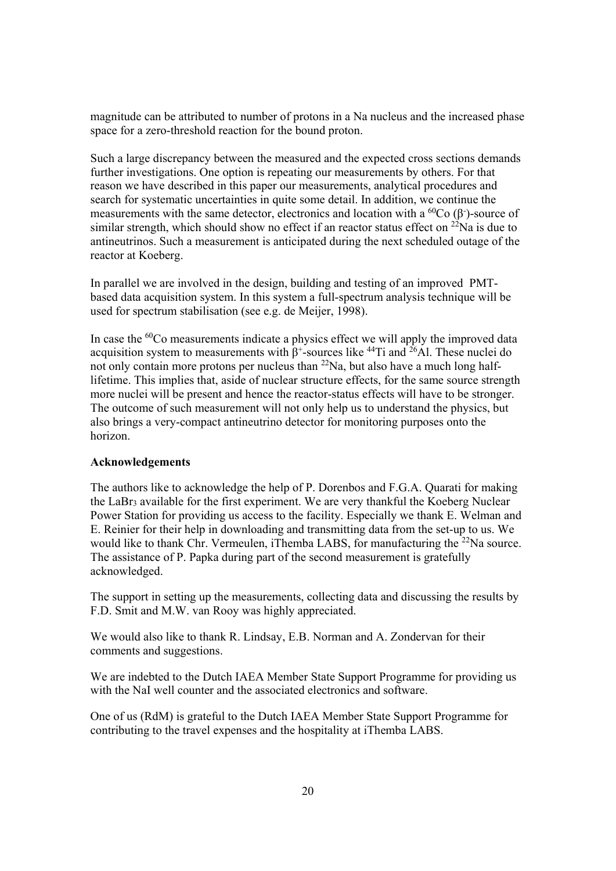magnitude can be attributed to number of protons in a Na nucleus and the increased phase space for a zero-threshold reaction for the bound proton.

Such a large discrepancy between the measured and the expected cross sections demands further investigations. One option is repeating our measurements by others. For that reason we have described in this paper our measurements, analytical procedures and search for systematic uncertainties in quite some detail. In addition, we continue the measurements with the same detector, electronics and location with a  ${}^{60}Co$  ( $\beta$ )-source of similar strength, which should show no effect if an reactor status effect on  $^{22}$ Na is due to antineutrinos. Such a measurement is anticipated during the next scheduled outage of the reactor at Koeberg.

In parallel we are involved in the design, building and testing of an improved PMTbased data acquisition system. In this system a full-spectrum analysis technique will be used for spectrum stabilisation (see e.g. de Meijer, 1998).

In case the <sup>60</sup>Co measurements indicate a physics effect we will apply the improved data acquisition system to measurements with  $\beta^*$ -sources like <sup>44</sup>Ti and <sup>26</sup>Al. These nuclei do not only contain more protons per nucleus than  $22Na$ , but also have a much long halflifetime. This implies that, aside of nuclear structure effects, for the same source strength more nuclei will be present and hence the reactor-status effects will have to be stronger. The outcome of such measurement will not only help us to understand the physics, but also brings a very-compact antineutrino detector for monitoring purposes onto the horizon.

## **Acknowledgements**

The authors like to acknowledge the help of P. Dorenbos and F.G.A. Quarati for making the LaBr3 available for the first experiment. We are very thankful the Koeberg Nuclear Power Station for providing us access to the facility. Especially we thank E. Welman and E. Reinier for their help in downloading and transmitting data from the set-up to us. We would like to thank Chr. Vermeulen, iThemba LABS, for manufacturing the  $^{22}$ Na source. The assistance of P. Papka during part of the second measurement is gratefully acknowledged.

The support in setting up the measurements, collecting data and discussing the results by F.D. Smit and M.W. van Rooy was highly appreciated.

We would also like to thank R. Lindsay, E.B. Norman and A. Zondervan for their comments and suggestions.

We are indebted to the Dutch IAEA Member State Support Programme for providing us with the NaI well counter and the associated electronics and software.

One of us (RdM) is grateful to the Dutch IAEA Member State Support Programme for contributing to the travel expenses and the hospitality at iThemba LABS.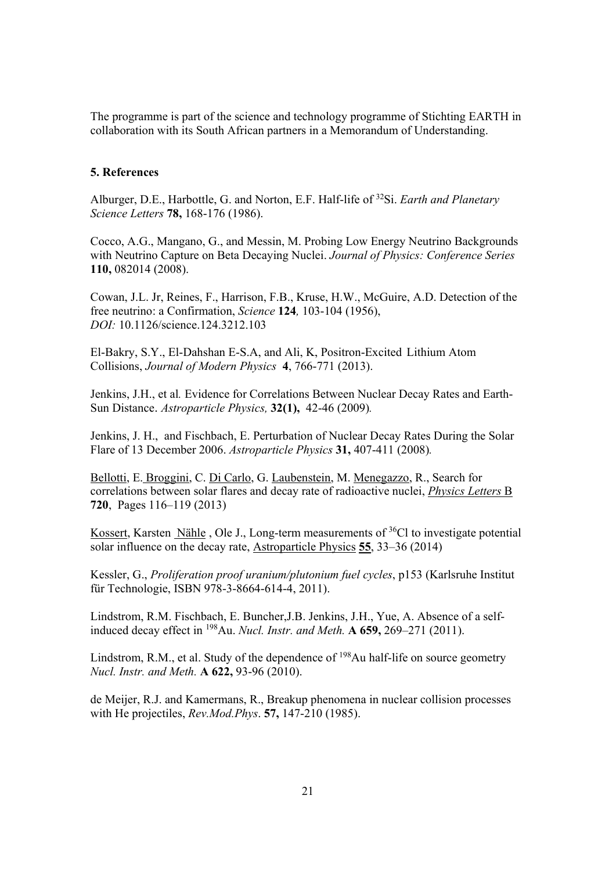The programme is part of the science and technology programme of Stichting EARTH in collaboration with its South African partners in a Memorandum of Understanding.

#### **5. References**

Alburger, D.E., Harbottle, G. and Norton, E.F. Half-life of 32Si. *Earth and Planetary Science Letters* **78,** 168-176 (1986).

Cocco, A.G., Mangano, G., and Messin, M. Probing Low Energy Neutrino Backgrounds with Neutrino Capture on Beta Decaying Nuclei. *Journal of Physics: Conference Series* **110,** 082014 (2008).

Cowan, J.L. Jr, Reines, F., Harrison, F.B., Kruse, H.W., McGuire, A.D. Detection of the free neutrino: a Confirmation, *Science* **124***,* 103-104 (1956), *DOI:* 10.1126/science.124.3212.103

El-Bakry, S.Y., El-Dahshan E-S.A, and Ali, K, Positron-Excited Lithium Atom Collisions, *Journal of Modern Physics* **4**, 766-771 (2013).

Jenkins, J.H., et al*.* Evidence for Correlations Between Nuclear Decay Rates and Earth-Sun Distance. *Astroparticle Physics,* **32(1),**42-46 (2009)*.* 

Jenkins, J. H., and Fischbach, E. Perturbation of Nuclear Decay Rates During the Solar Flare of 13 December 2006. *Astroparticle Physics* **31,** 407-411 (2008)*.* 

Bellotti, E. Broggini, C. Di Carlo, G. Laubenstein, M. Menegazzo, R., Search for correlations between solar flares and decay rate of radioactive nuclei, *Physics Letters* B **720**, Pages 116–119 (2013)

Kossert, Karsten Nähle , Ole J., Long-term measurements of  ${}^{36}$ Cl to investigate potential solar influence on the decay rate, Astroparticle Physics **55**, 33–36 (2014)

Kessler, G., *Proliferation proof uranium/plutonium fuel cycles*, p153 (Karlsruhe Institut für Technologie, ISBN 978-3-8664-614-4, 2011).

Lindstrom, R.M. Fischbach, E. Buncher,J.B. Jenkins, J.H., Yue, A. Absence of a selfinduced decay effect in 198Au. *Nucl. Instr. and Meth.* **A 659,** 269–271 (2011).

Lindstrom, R.M., et al. Study of the dependence of  $198$ Au half-life on source geometry *Nucl. Instr. and Meth.* **A 622,** 93-96 (2010).

de Meijer, R.J. and Kamermans, R., Breakup phenomena in nuclear collision processes with He projectiles, *Rev.Mod.Phys*. **57,** 147-210 (1985).